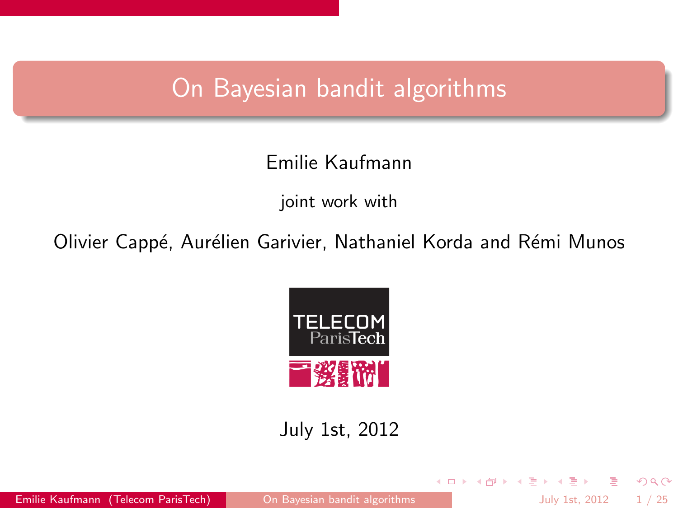## On Bayesian bandit algorithms

## Emilie Kaufmann

joint work with

Olivier Cappé, Aurélien Garivier, Nathaniel Korda and Rémi Munos



July 1st, 2012

Emilie Kaufmann (Telecom ParisTech) [On Bayesian bandit algorithms](#page-27-0) July 1st, 2012 1 / 25

э

<span id="page-0-0"></span> $298$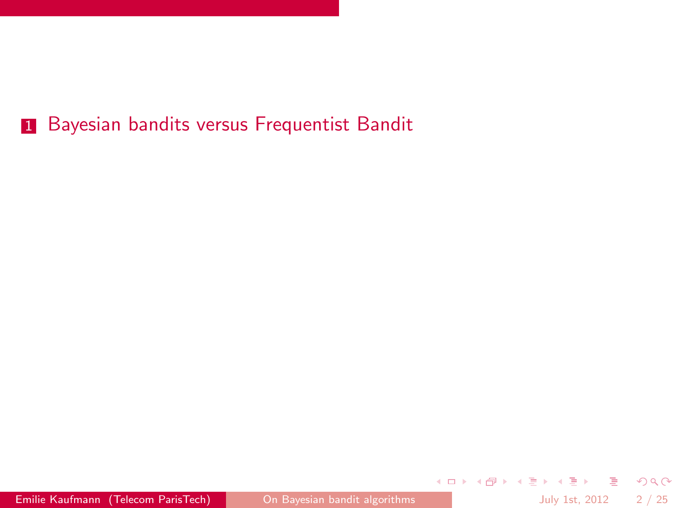Emilie Kaufmann (Telecom ParisTech) [On Bayesian bandit algorithms](#page-0-0) July 1st, 2012 2/25

K ロ ▶ K 個 ▶ K ミ ▶ K ミ ▶ │ 큰 │ K 9 Q Q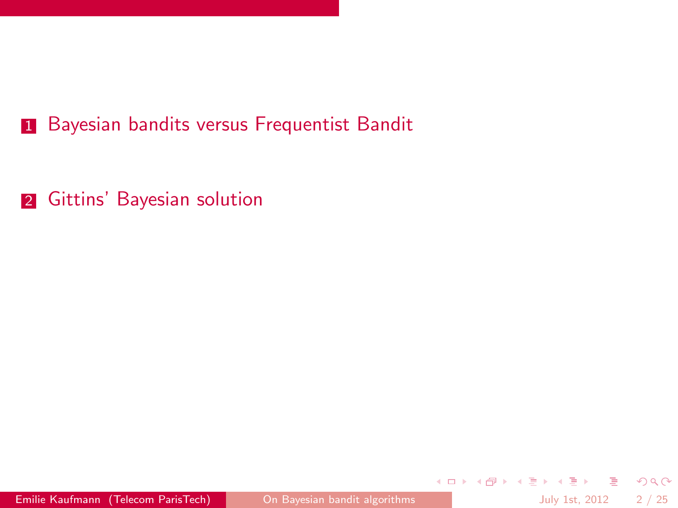2 [Gittins' Bayesian solution](#page-9-0)

K ロ > K 何 > K 君 > K 君 > 「君」 の Q ⊙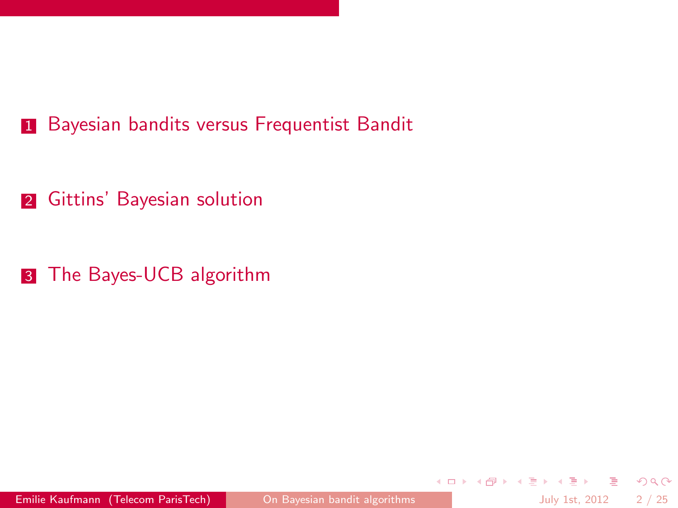2 [Gittins' Bayesian solution](#page-9-0)

3 [The Bayes-UCB algorithm](#page-11-0)

**KOD KARD KED KED BLOGG**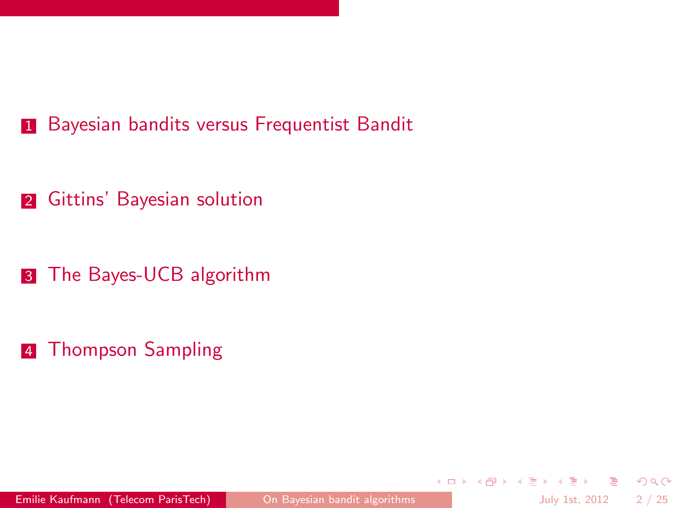2 [Gittins' Bayesian solution](#page-9-0)

**3** [The Bayes-UCB algorithm](#page-11-0)

4 [Thompson Sampling](#page-19-0)

 $\equiv$   $\cap$   $\alpha$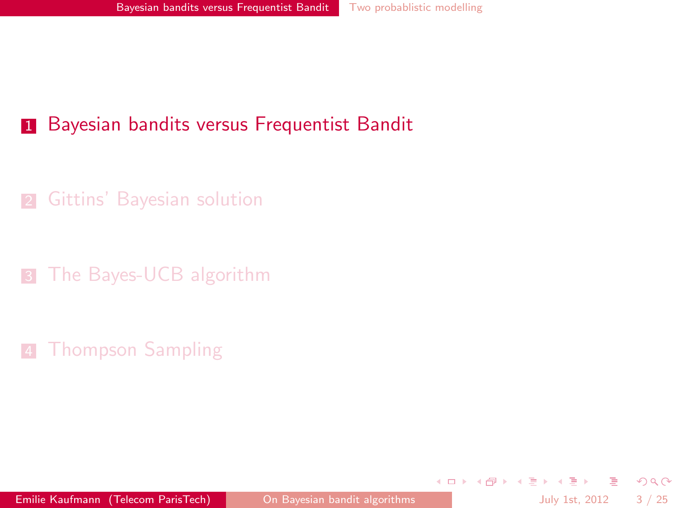2 [Gittins' Bayesian solution](#page-9-0)

**3** [The Bayes-UCB algorithm](#page-11-0)

**[Thompson Sampling](#page-19-0)** 

<span id="page-5-0"></span> $299$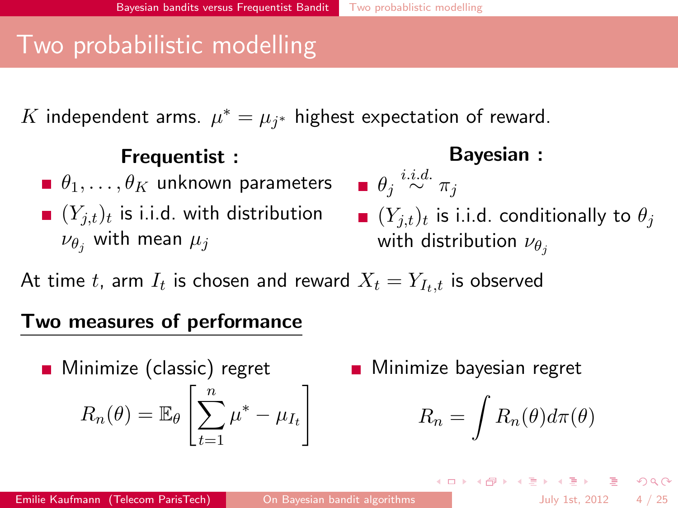## Two probabilistic modelling

 $K$  independent arms.  $\mu^* = \mu_{j^*}$  highest expectation of reward.

| Frequency                                       |                                                     |                  |
|-------------------------------------------------|-----------------------------------------------------|------------------|
| $\theta_1, \ldots, \theta_K$ unknown parameters | $\theta_j \stackrel{i.i.d.}{\sim} \pi_j$            |                  |
| $(Y_{j,t})_t$ is i.i.d. with distribution       | $(Y_{j,t})_t$ is i.i.d. conditionally to $\theta_j$ |                  |
| $\nu_{\theta_j}$ with mean $\mu_j$              | with distribution                                   | $\nu_{\theta_j}$ |

At time  $t$ , arm  $I_t$  is chosen and reward  $X_t=Y_{I_t,t}$  is observed

#### Two measures of performance

Minimize (classic) regret  

$$
R_n(\theta) = \mathbb{E}_{\theta} \left[ \sum_{t=1}^n \mu^* - \mu_{I_t} \right]
$$

Minimize bayesian regret

$$
R_n = \int R_n(\theta) d\pi(\theta)
$$

イロト イ母 トイミト イミト ニヨー りんぴ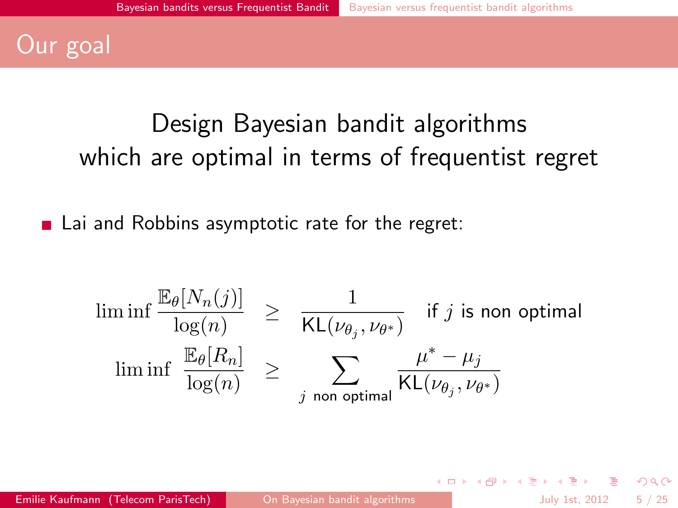## Our goal

# Design Bayesian bandit algorithms which are optimal in terms of frequentist regret

■ Lai and Robbins asymptotic rate for the regret:

$$
\liminf \frac{\mathbb{E}_{\theta}[N_n(j)]}{\log(n)} \geq \frac{1}{\mathsf{KL}(\nu_{\theta_j}, \nu_{\theta^*})} \quad \text{if } j \text{ is non optimal}
$$
\n
$$
\liminf \frac{\mathbb{E}_{\theta}[R_n]}{\log(n)} \geq \sum_{j \text{ non optimal}} \frac{\mu^* - \mu_j}{\mathsf{KL}(\nu_{\theta_j}, \nu_{\theta^*})}
$$

 $\Omega$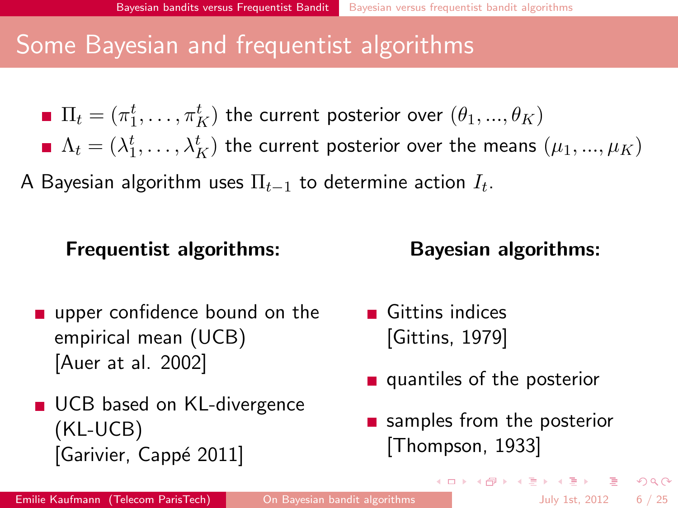## Some Bayesian and frequentist algorithms

\n- \n
$$
\Pi_t = (\pi_1^t, \ldots, \pi_K^t)
$$
 the current posterior over  $(\theta_1, \ldots, \theta_K)$ \n
\n- \n $\Lambda_t = (\lambda_1^t, \ldots, \lambda_K^t)$  the current posterior over the means  $(\mu_1, \ldots, \mu_K)$ \n
\n

A Bayesian algorithm uses  $\Pi_{t-1}$  to determine action  $I_t.$ 

#### Frequentist algorithms:

## Bayesian algorithms:

- upper confidence bound on the empirical mean (UCB) [Auer at al. 2002]
- UCB based on KL-divergence (KL-UCB) [Garivier, Cappé 2011]
- Gittins indices [Gittins, 1979]
- $\blacksquare$  quantiles of the posterior
- **samples from the posterior** [Thompson, 1933]

 $A \cup B \rightarrow A \oplus B \rightarrow A \oplus B \rightarrow A \oplus B \rightarrow A \oplus B$ 

 $QQ$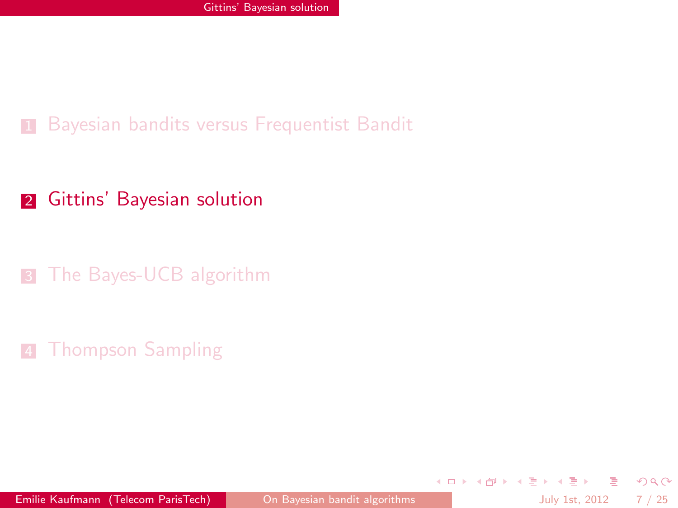#### 2 [Gittins' Bayesian solution](#page-9-0)

**3** [The Bayes-UCB algorithm](#page-11-0)

#### **4 [Thompson Sampling](#page-19-0)**

Emilie Kaufmann (Telecom ParisTech) [On Bayesian bandit algorithms](#page-0-0) July 1st, 2012 7 / 25

<span id="page-9-0"></span> $QQ$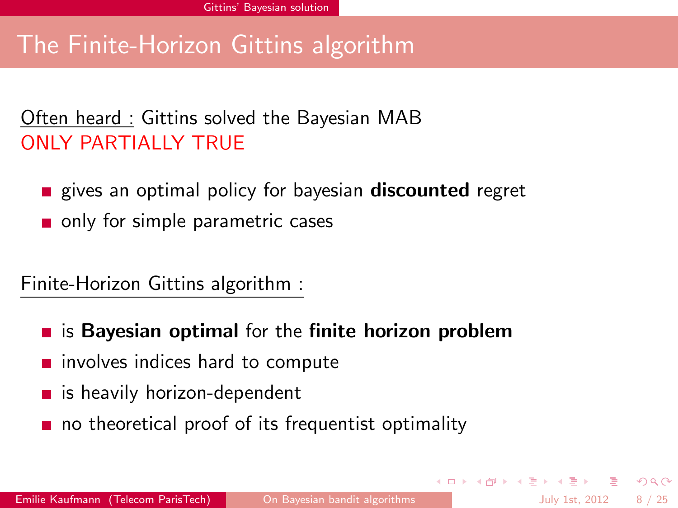## The Finite-Horizon Gittins algorithm

#### Often heard : Gittins solved the Bayesian MAB ONLY PARTIALLY TRUE

- **Example 2** gives an optimal policy for bayesian **discounted** regret
- only for simple parametric cases

Finite-Horizon Gittins algorithm :

- $\blacksquare$  is Bayesian optimal for the finite horizon problem
- $\blacksquare$  involves indices hard to compute
- $\blacksquare$  is heavily horizon-dependent
- no theoretical proof of its frequentist optimality

 $\Omega$ 

 $A \cup B \rightarrow A \oplus B \rightarrow A \oplus B \rightarrow A \oplus B \rightarrow A \oplus B$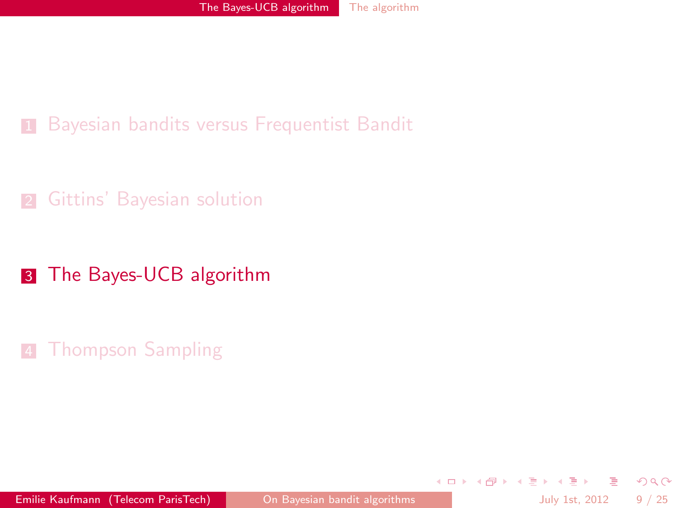#### **2** [Gittins' Bayesian solution](#page-9-0)

#### **3** [The Bayes-UCB algorithm](#page-11-0)

#### **4 [Thompson Sampling](#page-19-0)**

<span id="page-11-0"></span> $QQ$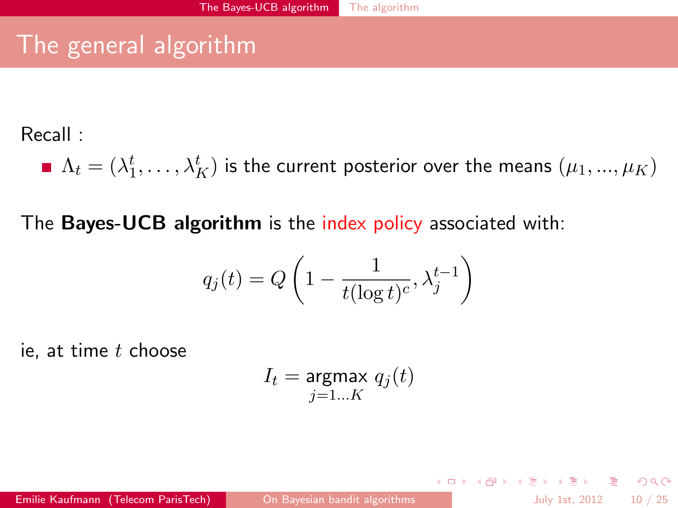## The general algorithm

Recall :

 $\Lambda_t = (\lambda^t_1, \ldots, \lambda^t_K)$  is the current posterior over the means  $(\mu_1, ..., \mu_K)$ 

The Bayes-UCB algorithm is the index policy associated with:

$$
q_j(t) = Q\left(1 - \frac{1}{t(\log t)^c}, \lambda_j^{t-1}\right)
$$

ie, at time  $t$  choose

$$
I_t = \underset{j=1 \ldots K}{\text{argmax}} \; q_j(t)
$$

**KOD KARD KED KED E VOOR**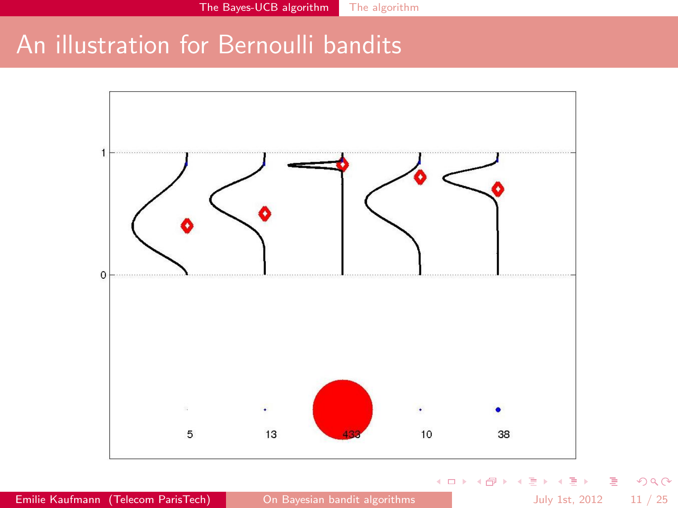## An illustration for Bernoulli bandits



Emilie Kaufmann (Telecom ParisTech) [On Bayesian bandit algorithms](#page-0-0) July 1st, 2012 11 / 25

活

 $2990$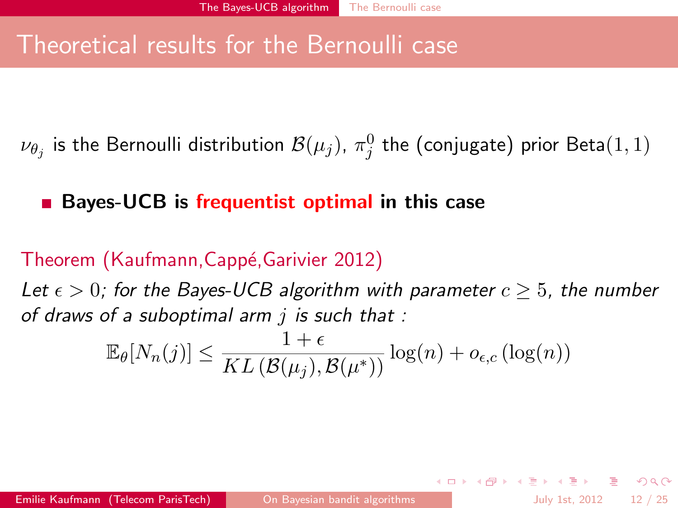## Theoretical results for the Bernoulli case

 $\nu_{\theta_j}$  is the Bernoulli distribution  $\mathcal{B}(\mu_j)$ ,  $\pi_j^0$  the (conjugate) prior Beta $(1,1)$ 

### Bayes-UCB is frequentist optimal in this case

#### Theorem (Kaufmann, Cappé, Garivier 2012)

Let  $\epsilon > 0$ ; for the Bayes-UCB algorithm with parameter  $c \geq 5$ , the number of draws of a suboptimal arm  $i$  is such that :

$$
\mathbb{E}_{\theta}[N_n(j)] \leq \frac{1+\epsilon}{KL(\mathcal{B}(\mu_j), \mathcal{B}(\mu^*))} \log(n) + o_{\epsilon,c}(\log(n))
$$

**KOD KARD KED KED E VOOR**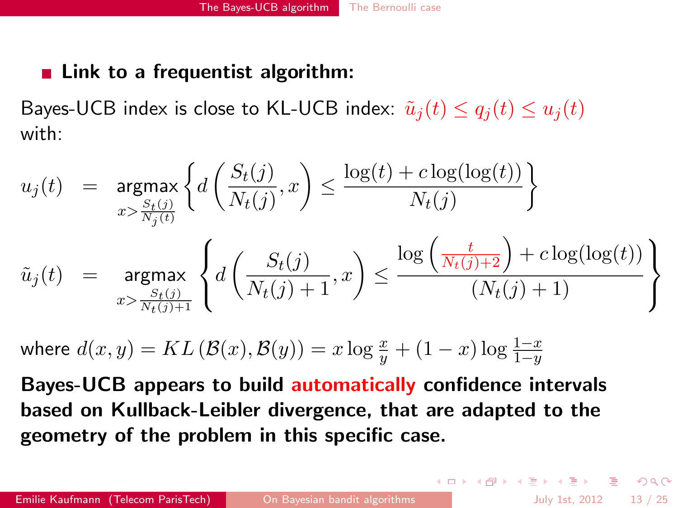#### $\blacksquare$  Link to a frequentist algorithm:

Bayes-UCB index is close to KL-UCB index:  $\tilde{u}_i(t) \leq q_i(t) \leq u_i(t)$ with:

$$
u_j(t) = \underset{x > \frac{S_t(j)}{N_j(t)}}{\operatorname{argmax}} \left\{ d\left(\frac{S_t(j)}{N_t(j)}, x\right) \le \frac{\log(t) + c \log(\log(t))}{N_t(j)} \right\}
$$
  

$$
\tilde{u}_j(t) = \underset{x > \frac{S_t(j)}{N_t(j)+1}}{\operatorname{argmax}} \left\{ d\left(\frac{S_t(j)}{N_t(j)+1}, x\right) \le \frac{\log\left(\frac{t}{N_t(j)+2}\right) + c \log(\log(t))}{\left(N_t(j)+1\right)} \right\}
$$

where  $d(x,y) = KL\left(\mathcal{B}(x),\mathcal{B}(y)\right) = x\log\frac{x}{y} + (1-x)\log\frac{1-x}{1-y}$ 

Bayes-UCB appears to build automatically confidence intervals based on Kullback-Leibler divergence, that are adapted to the geometry of the problem in this specific case.

K ロ ▶ K @ ▶ K 할 ▶ K 할 ▶ → 할 → 9 Q Q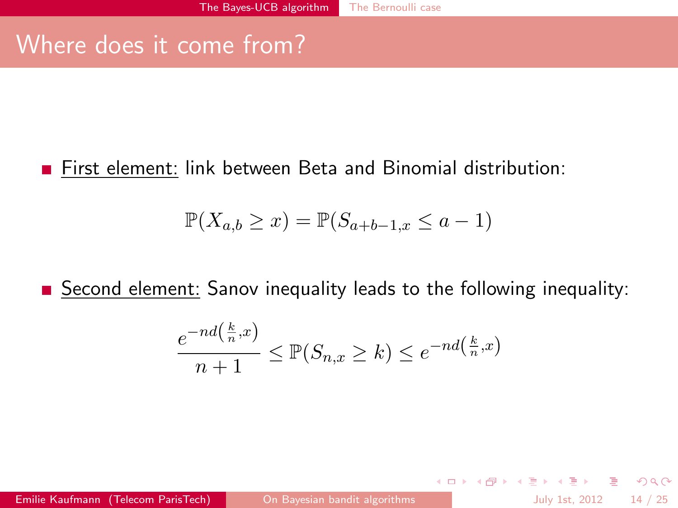## Where does it come from?

First element: link between Beta and Binomial distribution:

$$
\mathbb{P}(X_{a,b} \geq x) = \mathbb{P}(S_{a+b-1,x} \leq a-1)
$$

Second element: Sanov inequality leads to the following inequality:

$$
\frac{e^{-nd(\frac{k}{n},x)}}{n+1} \leq \mathbb{P}(S_{n,x} \geq k) \leq e^{-nd(\frac{k}{n},x)}
$$

Emilie Kaufmann (Telecom ParisTech) [On Bayesian bandit algorithms](#page-0-0) July 1st, 2012 14 / 25

- 9

 $\Omega$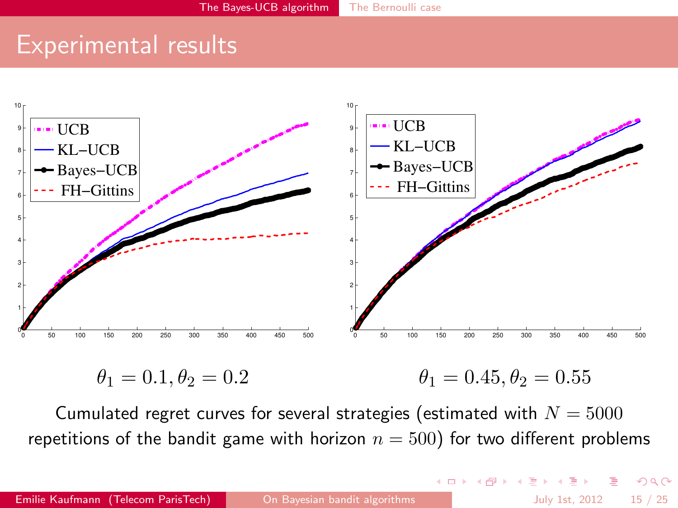## Experimental results



 $\theta_1 = 0.1, \theta_2 = 0.2$  $\theta_1 = 0.45, \theta_2 = 0.55$ 

Cumulated regret curves for several strategies (estimated with  $N = 5000$ repetitions of the bandit game with horizon  $n = 500$ ) for two different problems

 $QQ$ 

イロト イ母 トイラト イラト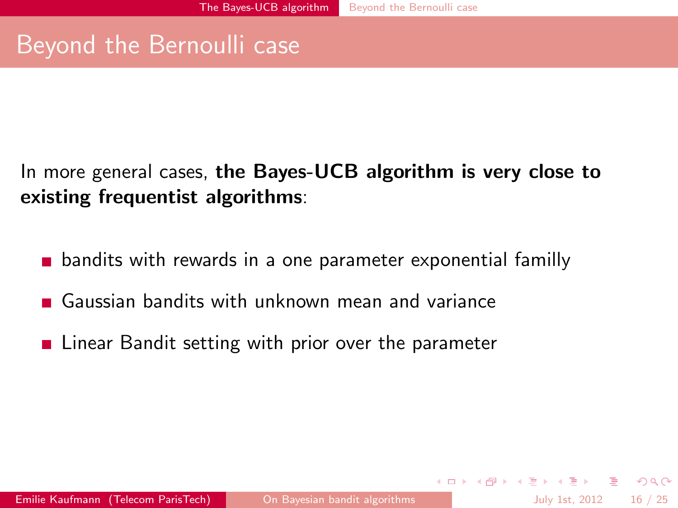## Beyond the Bernoulli case

In more general cases, the Bayes-UCB algorithm is very close to existing frequentist algorithms:

- bandits with rewards in a one parameter exponential familly
- Gaussian bandits with unknown mean and variance
- **Example 2** Linear Bandit setting with prior over the parameter

 $\Omega$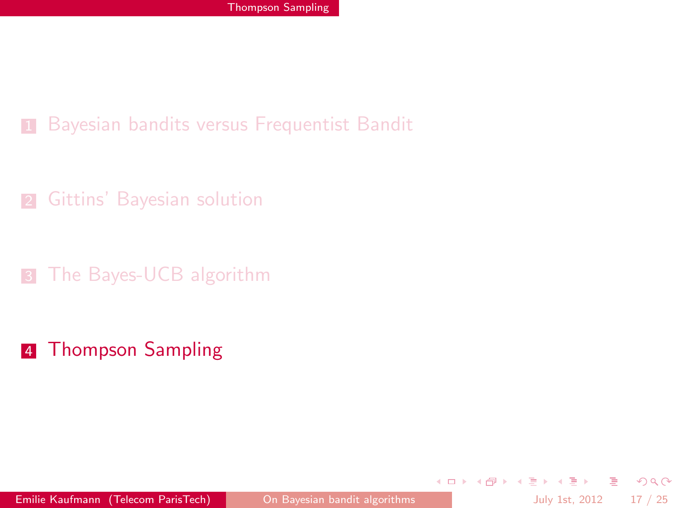**2** [Gittins' Bayesian solution](#page-9-0)

**3** [The Bayes-UCB algorithm](#page-11-0)

4 [Thompson Sampling](#page-19-0)

<span id="page-19-0"></span> $QQ$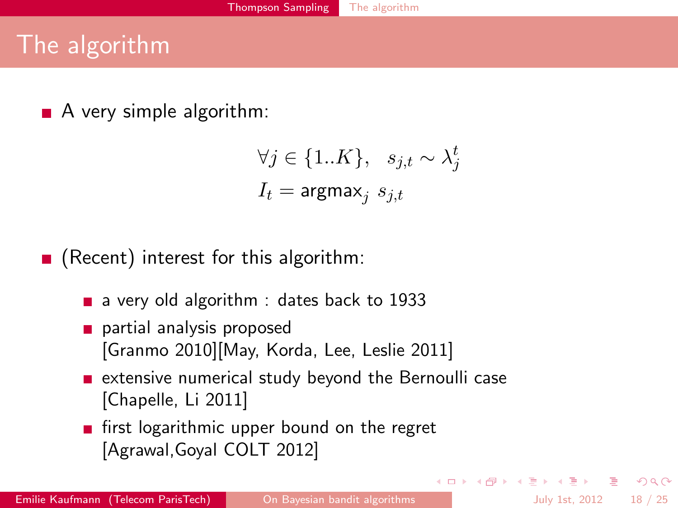## The algorithm

 $\blacksquare$  A very simple algorithm:

$$
\forall j \in \{1..K\}, \quad s_{j,t} \sim \lambda_j^t
$$

$$
I_t = \text{argmax}_j \ s_{j,t}
$$

 $\blacksquare$  (Recent) interest for this algorithm:

- a very old algorithm : dates back to 1933
- partial analysis proposed [Granmo 2010][May, Korda, Lee, Leslie 2011]
- $\blacksquare$  extensive numerical study beyond the Bernoulli case [Chapelle, Li 2011]
- first logarithmic upper bound on the regret [Agrawal,Goyal COLT 2012]

<span id="page-20-0"></span> $\Omega$ 

 $A \cup B \rightarrow A \oplus B \rightarrow A \oplus B \rightarrow A \oplus B \rightarrow A \oplus B$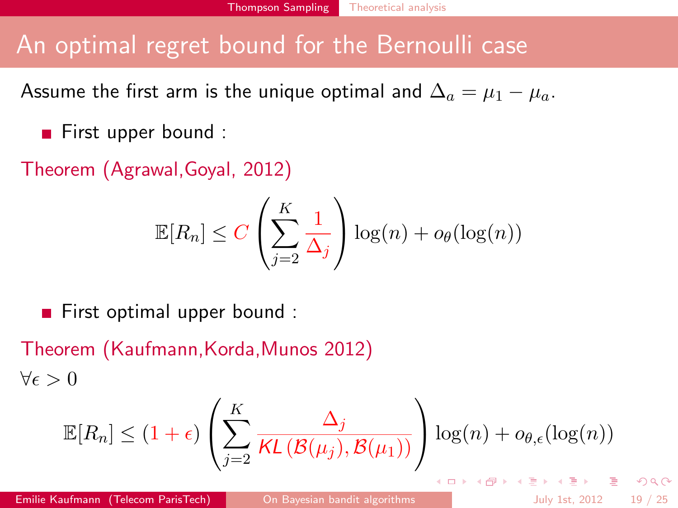## An optimal regret bound for the Bernoulli case

Assume the first arm is the unique optimal and  $\Delta_a = \mu_1 - \mu_a$ .

 $\blacksquare$  First upper bound :

Theorem (Agrawal,Goyal, 2012)

<span id="page-21-0"></span>
$$
\mathbb{E}[R_n] \le C \left(\sum_{j=2}^K \frac{1}{\Delta_j}\right) \log(n) + o_\theta(\log(n))
$$

First optimal upper bound :

Theorem (Kaufmann,Korda,Munos 2012)  $\forall \epsilon > 0$ 

$$
\mathbb{E}[R_n] \le (1+\epsilon) \left( \sum_{j=2}^K \frac{\Delta_j}{\mathcal{K}L(\mathcal{B}(\mu_j), \mathcal{B}(\mu_1))} \right) \log(n) + o_{\theta,\epsilon}(\log(n))
$$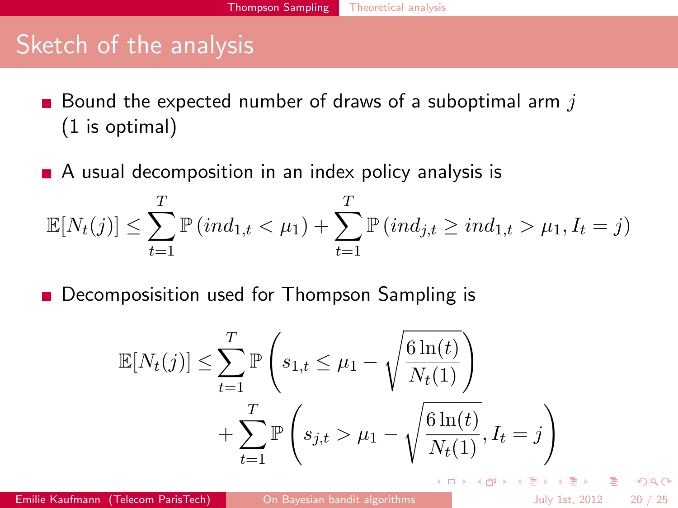## Sketch of the analysis

Bound the expected number of draws of a suboptimal arm  $j$  $\blacksquare$ (1 is optimal)

 $\blacksquare$  A usual decomposition in an index policy analysis is

$$
\mathbb{E}[N_t(j)] \leq \sum_{t=1}^T \mathbb{P}(ind_{1,t} < \mu_1) + \sum_{t=1}^T \mathbb{P}(ind_{j,t} \geq ind_{1,t} > \mu_1, I_t = j)
$$

 $\blacksquare$ Decomposisition used for Thompson Sampling is

$$
\mathbb{E}[N_t(j)] \le \sum_{t=1}^T \mathbb{P}\left(s_{1,t} \le \mu_1 - \sqrt{\frac{6\ln(t)}{N_t(1)}}\right) + \sum_{t=1}^T \mathbb{P}\left(s_{j,t} > \mu_1 - \sqrt{\frac{6\ln(t)}{N_t(1)}}, I_t = j\right)
$$

 $\left\{ \begin{array}{ccc} 1 & 0 & 0 \\ 0 & 1 & 0 \end{array} \right.$ 

 $\Omega$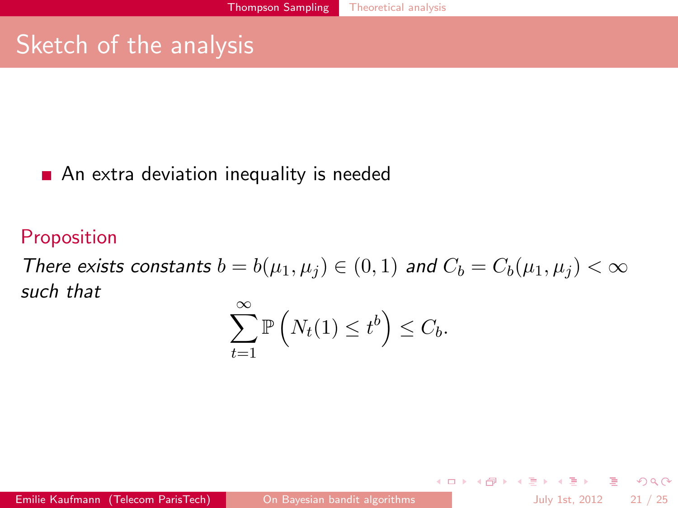## Sketch of the analysis

#### An extra deviation inequality is needed

#### Proposition

There exists constants  $b = b(\mu_1, \mu_i) \in (0, 1)$  and  $C_b = C_b(\mu_1, \mu_i) < \infty$ such that  $\sim$ 

$$
\sum_{t=1}^{\infty} \mathbb{P}\left(N_t(1) \leq t^b\right) \leq C_b.
$$

Emilie Kaufmann (Telecom ParisTech) [On Bayesian bandit algorithms](#page-0-0) July 1st, 2012 21 / 25

<span id="page-23-0"></span>

**KOD KARD KED KED E VOOR**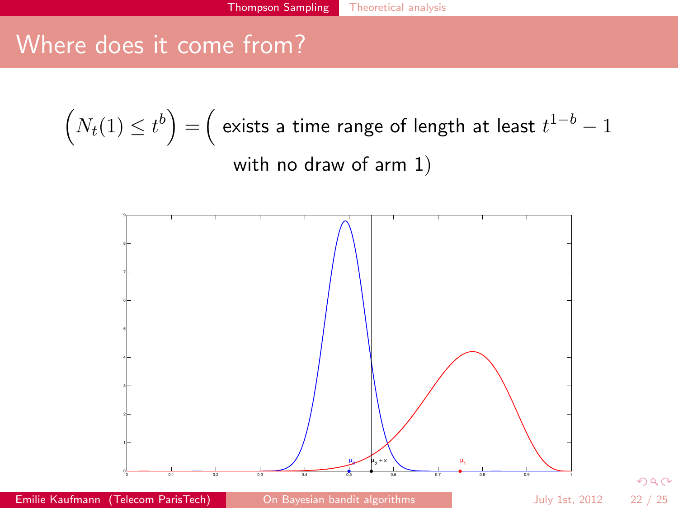## Where does it come from?

$$
(N_t(1) \le t^b) = (\text{ exists a time range of length at least } t^{1-b} - 1
$$
  
with no draw of arm 1)



Emilie Kaufmann (Telecom ParisTech) [On Bayesian bandit algorithms](#page-0-0) July 1st, 2012 22 / 25

<span id="page-24-0"></span> $299$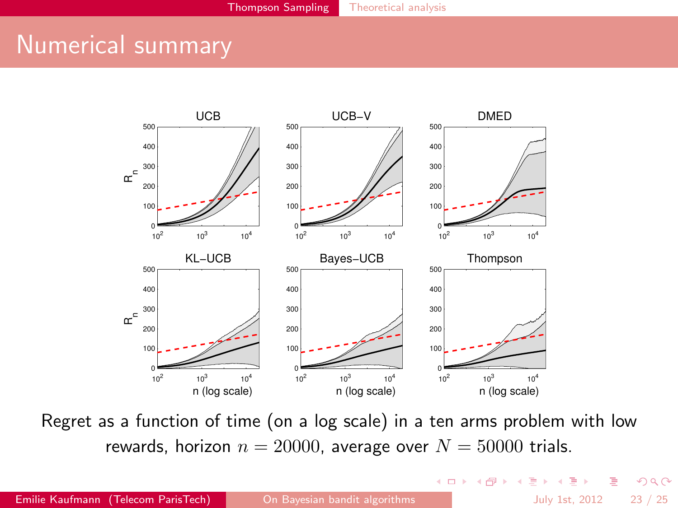## Numerical summary



Regret as a function of time (on a log scale) in a ten arms problem with low rewards, horizon  $n = 20000$ , average over  $N = 50000$  trials.

 $QQ$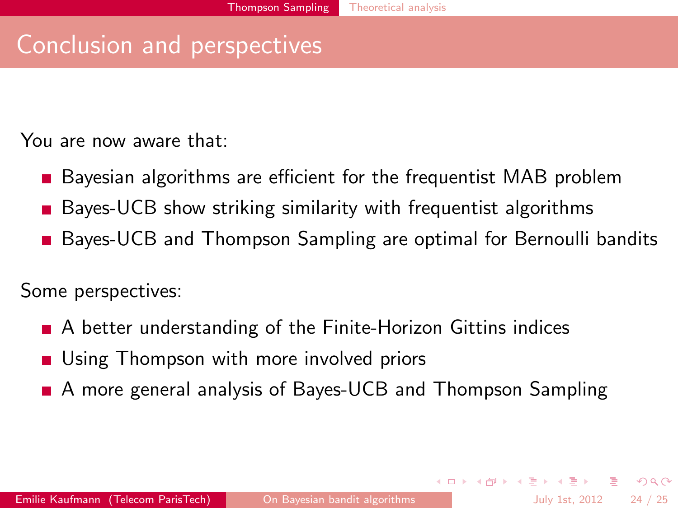## Conclusion and perspectives

You are now aware that:

- Bayesian algorithms are efficient for the frequentist MAB problem
- Bayes-UCB show striking similarity with frequentist algorithms
- **Bayes-UCB and Thompson Sampling are optimal for Bernoulli bandits**

Some perspectives:

- A better understanding of the Finite-Horizon Gittins indices
- **Using Thompson with more involved priors**
- A more general analysis of Bayes-UCB and Thompson Sampling

 $\Omega$ 

K ロンス 御 > ス ヨ > ス ヨ > 一 ヨ